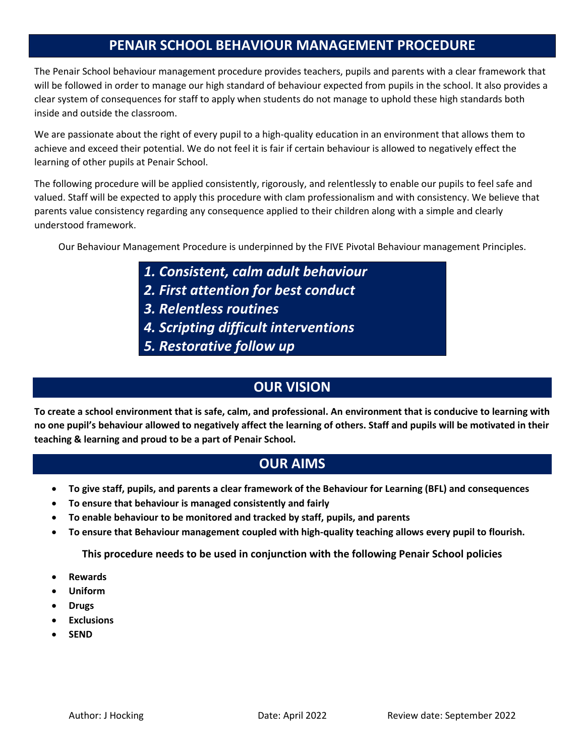# **PENAIR SCHOOL BEHAVIOUR MANAGEMENT PROCEDURE**

The Penair School behaviour management procedure provides teachers, pupils and parents with a clear framework that will be followed in order to manage our high standard of behaviour expected from pupils in the school. It also provides a clear system of consequences for staff to apply when students do not manage to uphold these high standards both inside and outside the classroom.

We are passionate about the right of every pupil to a high-quality education in an environment that allows them to achieve and exceed their potential. We do not feel it is fair if certain behaviour is allowed to negatively effect the learning of other pupils at Penair School.

The following procedure will be applied consistently, rigorously, and relentlessly to enable our pupils to feel safe and valued. Staff will be expected to apply this procedure with clam professionalism and with consistency. We believe that parents value consistency regarding any consequence applied to their children along with a simple and clearly understood framework.

Our Behaviour Management Procedure is underpinned by the FIVE Pivotal Behaviour management Principles.

- *1. Consistent, calm adult behaviour*
- *2. First attention for best conduct*
- *3. Relentless routines*
- *4. Scripting difficult interventions*
- *5. Restorative follow up*

# **OUR VISION**

**To create a school environment that is safe, calm, and professional. An environment that is conducive to learning with no one pupil's behaviour allowed to negatively affect the learning of others. Staff and pupils will be motivated in their teaching & learning and proud to be a part of Penair School.**

## **OUR AIMS**

- **To give staff, pupils, and parents a clear framework of the Behaviour for Learning (BFL) and consequences**
- **To ensure that behaviour is managed consistently and fairly**
- **To enable behaviour to be monitored and tracked by staff, pupils, and parents**
- **To ensure that Behaviour management coupled with high-quality teaching allows every pupil to flourish.**

**This procedure needs to be used in conjunction with the following Penair School policies**

- **Rewards**
- **Uniform**
- **Drugs**
- **Exclusions**
- **SEND**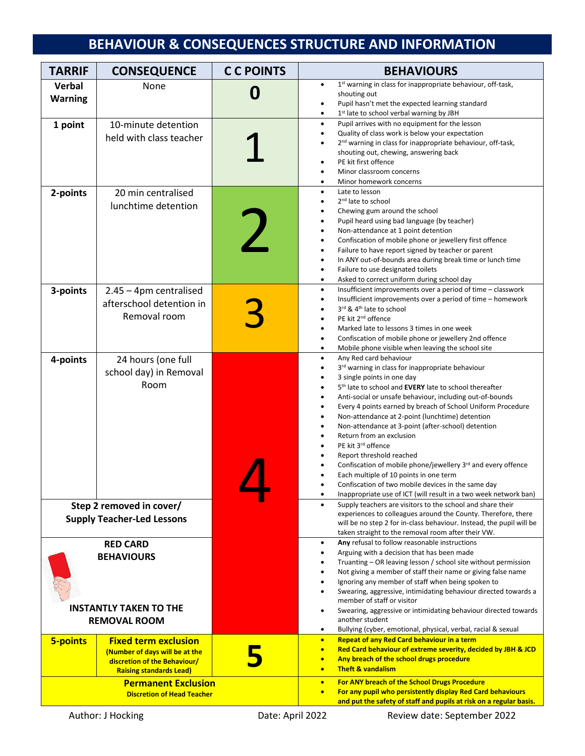# **BEHAVIOUR & CONSEQUENCES STRUCTURE AND INFORMATION**

| <b>TARRIF</b>                                                                                | <b>CONSEQUENCE</b>                                                                                                              | <b>CC POINTS</b> | <b>BEHAVIOURS</b>                                                                                                                                                                                                                                                                                                                                                                                                                                                                                                                                                                                                                                                                                                                                                     |
|----------------------------------------------------------------------------------------------|---------------------------------------------------------------------------------------------------------------------------------|------------------|-----------------------------------------------------------------------------------------------------------------------------------------------------------------------------------------------------------------------------------------------------------------------------------------------------------------------------------------------------------------------------------------------------------------------------------------------------------------------------------------------------------------------------------------------------------------------------------------------------------------------------------------------------------------------------------------------------------------------------------------------------------------------|
| Verbal<br><b>Warning</b>                                                                     | None                                                                                                                            | Û                | 1st warning in class for inappropriate behaviour, off-task,<br>shouting out<br>Pupil hasn't met the expected learning standard<br>$\bullet$<br>1st late to school verbal warning by JBH                                                                                                                                                                                                                                                                                                                                                                                                                                                                                                                                                                               |
| 1 point                                                                                      | 10-minute detention<br>held with class teacher                                                                                  |                  | Pupil arrives with no equipment for the lesson<br>$\bullet$<br>Quality of class work is below your expectation<br>٠<br>2 <sup>nd</sup> warning in class for inappropriate behaviour, off-task,<br>shouting out, chewing, answering back<br>PE kit first offence<br>Minor classroom concerns<br>Minor homework concerns                                                                                                                                                                                                                                                                                                                                                                                                                                                |
| 2-points                                                                                     | 20 min centralised<br>lunchtime detention                                                                                       |                  | Late to lesson<br>$\bullet$<br>2 <sup>nd</sup> late to school<br>Chewing gum around the school<br>Pupil heard using bad language (by teacher)<br>Non-attendance at 1 point detention<br>Confiscation of mobile phone or jewellery first offence<br>Failure to have report signed by teacher or parent<br>In ANY out-of-bounds area during break time or lunch time<br>$\bullet$<br>Failure to use designated toilets<br>Asked to correct uniform during school day                                                                                                                                                                                                                                                                                                    |
| 3-points                                                                                     | $2.45 - 4$ pm centralised<br>afterschool detention in<br>Removal room                                                           |                  | Insufficient improvements over a period of time - classwork<br>$\bullet$<br>Insufficient improvements over a period of time - homework<br>3rd & 4 <sup>th</sup> late to school<br>PE kit 2 <sup>nd</sup> offence<br>Marked late to lessons 3 times in one week<br>Confiscation of mobile phone or jewellery 2nd offence<br>Mobile phone visible when leaving the school site                                                                                                                                                                                                                                                                                                                                                                                          |
| 4-points                                                                                     | 24 hours (one full<br>school day) in Removal<br>Room                                                                            |                  | Any Red card behaviour<br>$\bullet$<br>3rd warning in class for inappropriate behaviour<br>$\bullet$<br>3 single points in one day<br>5 <sup>th</sup> late to school and <b>EVERY</b> late to school thereafter<br>Anti-social or unsafe behaviour, including out-of-bounds<br>Every 4 points earned by breach of School Uniform Procedure<br>Non-attendance at 2-point (lunchtime) detention<br>Non-attendance at 3-point (after-school) detention<br>Return from an exclusion<br>PE kit 3rd offence<br>Report threshold reached<br>Confiscation of mobile phone/jewellery 3rd and every offence<br>Each multiple of 10 points in one term<br>Confiscation of two mobile devices in the same day<br>Inappropriate use of ICT (will result in a two week network ban) |
| Step 2 removed in cover/<br><b>Supply Teacher-Led Lessons</b>                                |                                                                                                                                 |                  | Supply teachers are visitors to the school and share their<br>$\bullet$<br>experiences to colleagues around the County. Therefore, there<br>will be no step 2 for in-class behaviour. Instead, the pupil will be<br>taken straight to the removal room after their VW.                                                                                                                                                                                                                                                                                                                                                                                                                                                                                                |
| <b>RED CARD</b><br><b>BEHAVIOURS</b><br><b>INSTANTLY TAKEN TO THE</b><br><b>REMOVAL ROOM</b> |                                                                                                                                 |                  | Any refusal to follow reasonable instructions<br>٠<br>Arguing with a decision that has been made<br>$\bullet$<br>Truanting - OR leaving lesson / school site without permission<br>Not giving a member of staff their name or giving false name<br>Ignoring any member of staff when being spoken to<br>Swearing, aggressive, intimidating behaviour directed towards a<br>member of staff or visitor<br>Swearing, aggressive or intimidating behaviour directed towards<br>another student<br>Bullying (cyber, emotional, physical, verbal, racial & sexual<br>٠                                                                                                                                                                                                     |
| <b>5-points</b>                                                                              | <b>Fixed term exclusion</b><br>(Number of days will be at the<br>discretion of the Behaviour/<br><b>Raising standards Lead)</b> |                  | <b>Repeat of any Red Card behaviour in a term</b><br>$\bullet$<br>Red Card behaviour of extreme severity, decided by JBH & JCD<br>$\bullet$<br>Any breach of the school drugs procedure<br>$\bullet$<br><b>Theft &amp; vandalism</b><br>$\bullet$                                                                                                                                                                                                                                                                                                                                                                                                                                                                                                                     |
| <b>Permanent Exclusion</b><br><b>Discretion of Head Teacher</b>                              |                                                                                                                                 |                  | For ANY breach of the School Drugs Procedure<br>$\bullet$<br>For any pupil who persistently display Red Card behaviours<br>$\bullet$<br>and put the safety of staff and pupils at risk on a regular basis.                                                                                                                                                                                                                                                                                                                                                                                                                                                                                                                                                            |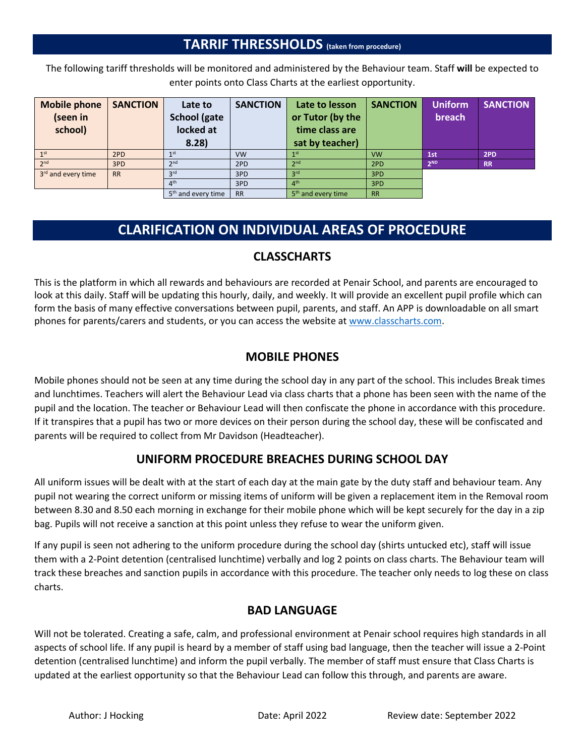## **TARRIF THRESSHOLDS (taken from procedure)**

The following tariff thresholds will be monitored and administered by the Behaviour team. Staff **will** be expected to enter points onto Class Charts at the earliest opportunity.

| <b>Mobile phone</b> | <b>SANCTION</b> | Late to                        | <b>SANCTION</b> | Late to lesson                 | <b>SANCTION</b> | <b>Uniform</b>  | <b>SANCTION</b> |
|---------------------|-----------------|--------------------------------|-----------------|--------------------------------|-----------------|-----------------|-----------------|
| (seen in            |                 | <b>School (gate</b>            |                 | or Tutor (by the               |                 | breach          |                 |
| school)             |                 | locked at                      |                 | time class are                 |                 |                 |                 |
|                     |                 | 8.28                           |                 | sat by teacher)                |                 |                 |                 |
| 1 <sup>st</sup>     | 2PD             | $1$ st                         | <b>VW</b>       |                                | <b>VW</b>       | 1st             | 2PD             |
| 2 <sub>nd</sub>     | 3PD             | 2nd                            | 2PD             | 2 <sub>nd</sub>                | 2PD             | 2 <sub>ND</sub> | <b>RR</b>       |
| 3rd and every time  | <b>RR</b>       | 3 <sup>rd</sup>                | 3PD             | 3 <sup>rd</sup>                | 3PD             |                 |                 |
|                     |                 | 4 <sup>th</sup>                | 3PD             | $\Lambda$ <sup>th</sup>        | 3PD             |                 |                 |
|                     |                 | 5 <sup>th</sup> and every time | <b>RR</b>       | 5 <sup>th</sup> and every time | <b>RR</b>       |                 |                 |

# **CLARIFICATION ON INDIVIDUAL AREAS OF PROCEDURE**

#### **CLASSCHARTS**

This is the platform in which all rewards and behaviours are recorded at Penair School, and parents are encouraged to look at this daily. Staff will be updating this hourly, daily, and weekly. It will provide an excellent pupil profile which can form the basis of many effective conversations between pupil, parents, and staff. An APP is downloadable on all smart phones for parents/carers and students, or you can access the website a[t www.classcharts.com.](http://www.classcharts.com/)

#### **MOBILE PHONES**

Mobile phones should not be seen at any time during the school day in any part of the school. This includes Break times and lunchtimes. Teachers will alert the Behaviour Lead via class charts that a phone has been seen with the name of the pupil and the location. The teacher or Behaviour Lead will then confiscate the phone in accordance with this procedure. If it transpires that a pupil has two or more devices on their person during the school day, these will be confiscated and parents will be required to collect from Mr Davidson (Headteacher).

#### **UNIFORM PROCEDURE BREACHES DURING SCHOOL DAY**

All uniform issues will be dealt with at the start of each day at the main gate by the duty staff and behaviour team. Any pupil not wearing the correct uniform or missing items of uniform will be given a replacement item in the Removal room between 8.30 and 8.50 each morning in exchange for their mobile phone which will be kept securely for the day in a zip bag. Pupils will not receive a sanction at this point unless they refuse to wear the uniform given.

If any pupil is seen not adhering to the uniform procedure during the school day (shirts untucked etc), staff will issue them with a 2-Point detention (centralised lunchtime) verbally and log 2 points on class charts. The Behaviour team will track these breaches and sanction pupils in accordance with this procedure. The teacher only needs to log these on class charts.

## **BAD LANGUAGE**

Will not be tolerated. Creating a safe, calm, and professional environment at Penair school requires high standards in all aspects of school life. If any pupil is heard by a member of staff using bad language, then the teacher will issue a 2-Point detention (centralised lunchtime) and inform the pupil verbally. The member of staff must ensure that Class Charts is updated at the earliest opportunity so that the Behaviour Lead can follow this through, and parents are aware.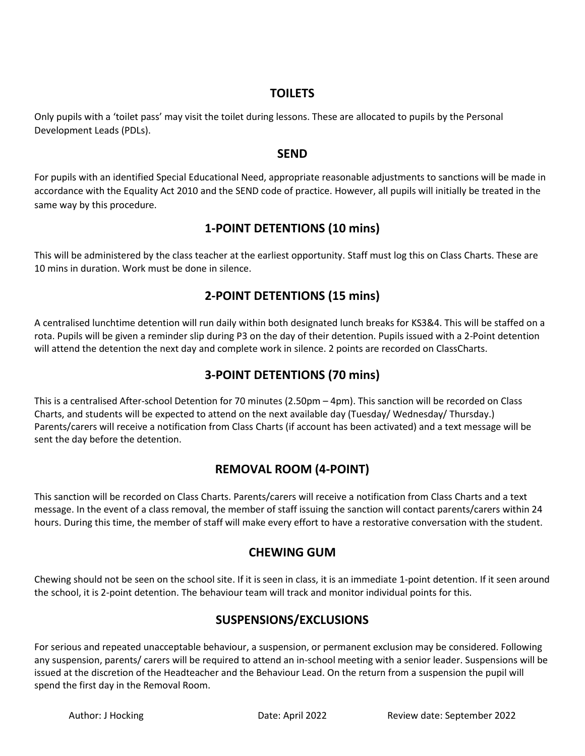#### **TOILETS**

Only pupils with a 'toilet pass' may visit the toilet during lessons. These are allocated to pupils by the Personal Development Leads (PDLs).

#### **SEND**

For pupils with an identified Special Educational Need, appropriate reasonable adjustments to sanctions will be made in accordance with the Equality Act 2010 and the SEND code of practice. However, all pupils will initially be treated in the same way by this procedure.

## **1-POINT DETENTIONS (10 mins)**

This will be administered by the class teacher at the earliest opportunity. Staff must log this on Class Charts. These are 10 mins in duration. Work must be done in silence.

## **2-POINT DETENTIONS (15 mins)**

A centralised lunchtime detention will run daily within both designated lunch breaks for KS3&4. This will be staffed on a rota. Pupils will be given a reminder slip during P3 on the day of their detention. Pupils issued with a 2-Point detention will attend the detention the next day and complete work in silence. 2 points are recorded on ClassCharts.

## **3-POINT DETENTIONS (70 mins)**

This is a centralised After-school Detention for 70 minutes (2.50pm – 4pm). This sanction will be recorded on Class Charts, and students will be expected to attend on the next available day (Tuesday/ Wednesday/ Thursday.) Parents/carers will receive a notification from Class Charts (if account has been activated) and a text message will be sent the day before the detention.

## **REMOVAL ROOM (4-POINT)**

This sanction will be recorded on Class Charts. Parents/carers will receive a notification from Class Charts and a text message. In the event of a class removal, the member of staff issuing the sanction will contact parents/carers within 24 hours. During this time, the member of staff will make every effort to have a restorative conversation with the student.

#### **CHEWING GUM**

Chewing should not be seen on the school site. If it is seen in class, it is an immediate 1-point detention. If it seen around the school, it is 2-point detention. The behaviour team will track and monitor individual points for this.

## **SUSPENSIONS/EXCLUSIONS**

For serious and repeated unacceptable behaviour, a suspension, or permanent exclusion may be considered. Following any suspension, parents/ carers will be required to attend an in-school meeting with a senior leader. Suspensions will be issued at the discretion of the Headteacher and the Behaviour Lead. On the return from a suspension the pupil will spend the first day in the Removal Room.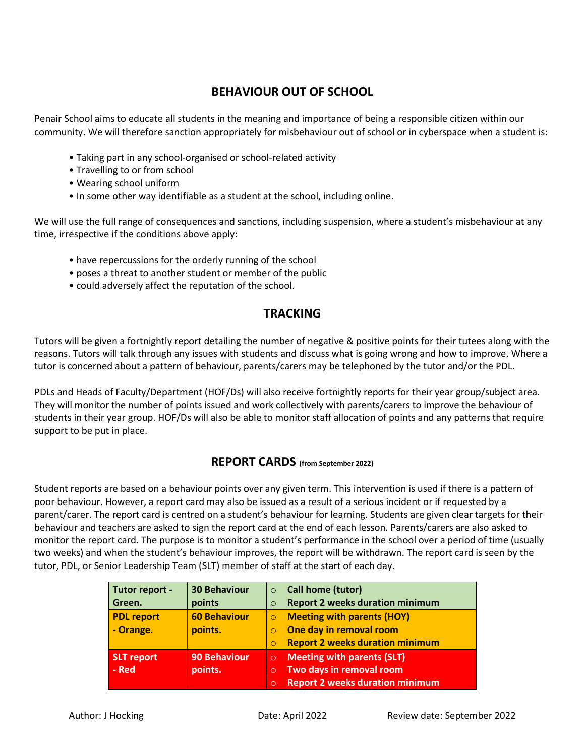#### **BEHAVIOUR OUT OF SCHOOL**

Penair School aims to educate all students in the meaning and importance of being a responsible citizen within our community. We will therefore sanction appropriately for misbehaviour out of school or in cyberspace when a student is:

- Taking part in any school-organised or school-related activity
- Travelling to or from school
- Wearing school uniform
- In some other way identifiable as a student at the school, including online.

We will use the full range of consequences and sanctions, including suspension, where a student's misbehaviour at any time, irrespective if the conditions above apply:

- have repercussions for the orderly running of the school
- poses a threat to another student or member of the public
- could adversely affect the reputation of the school.

#### **TRACKING**

Tutors will be given a fortnightly report detailing the number of negative & positive points for their tutees along with the reasons. Tutors will talk through any issues with students and discuss what is going wrong and how to improve. Where a tutor is concerned about a pattern of behaviour, parents/carers may be telephoned by the tutor and/or the PDL.

PDLs and Heads of Faculty/Department (HOF/Ds) will also receive fortnightly reports for their year group/subject area. They will monitor the number of points issued and work collectively with parents/carers to improve the behaviour of students in their year group. HOF/Ds will also be able to monitor staff allocation of points and any patterns that require support to be put in place.

#### **REPORT CARDS (from September 2022)**

Student reports are based on a behaviour points over any given term. This intervention is used if there is a pattern of poor behaviour. However, a report card may also be issued as a result of a serious incident or if requested by a parent/carer. The report card is centred on a student's behaviour for learning. Students are given clear targets for their behaviour and teachers are asked to sign the report card at the end of each lesson. Parents/carers are also asked to monitor the report card. The purpose is to monitor a student's performance in the school over a period of time (usually two weeks) and when the student's behaviour improves, the report will be withdrawn. The report card is seen by the tutor, PDL, or Senior Leadership Team (SLT) member of staff at the start of each day.

| Tutor report -<br>Green.       | <b>30 Behaviour</b><br>points  | $\Omega$<br>$\Omega$          | <b>Call home (tutor)</b><br><b>Report 2 weeks duration minimum</b>                                      |
|--------------------------------|--------------------------------|-------------------------------|---------------------------------------------------------------------------------------------------------|
| <b>PDL report</b><br>- Orange. | <b>60 Behaviour</b><br>points. |                               | <b>Meeting with parents (HOY)</b><br>One day in removal room<br><b>Report 2 weeks duration minimum</b>  |
| <b>SLT</b> report<br>- Red     | <b>90 Behaviour</b><br>points. | $\circ$<br>$\circ$<br>$\circ$ | <b>Meeting with parents (SLT)</b><br>Two days in removal room<br><b>Report 2 weeks duration minimum</b> |